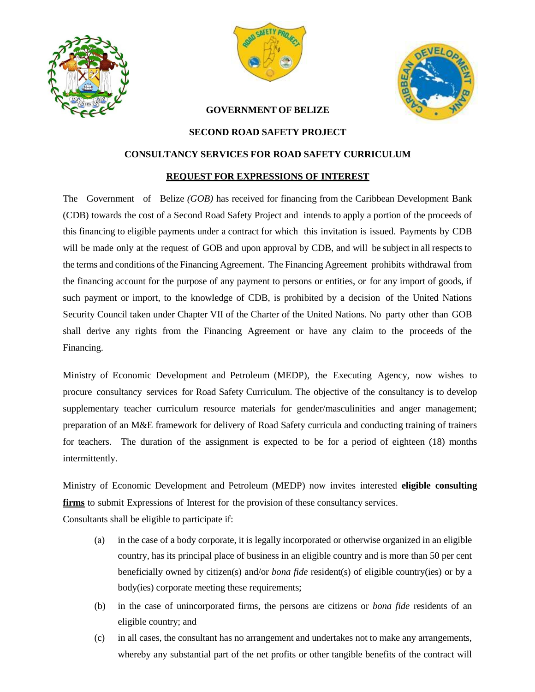





## **GOVERNMENT OF BELIZE**

## **SECOND ROAD SAFETY PROJECT**

## **CONSULTANCY SERVICES FOR ROAD SAFETY CURRICULUM**

## **REQUEST FOR EXPRESSIONS OF INTEREST**

The Government of Belize *(GOB)* has received for financing from the Caribbean Development Bank (CDB) towards the cost of a Second Road Safety Project and intends to apply a portion of the proceeds of this financing to eligible payments under a contract for which this invitation is issued. Payments by CDB will be made only at the request of GOB and upon approval by CDB, and will be subject in all respects to the terms and conditions of the Financing Agreement. The Financing Agreement prohibits withdrawal from the financing account for the purpose of any payment to persons or entities, or for any import of goods, if such payment or import, to the knowledge of CDB, is prohibited by a decision of the United Nations Security Council taken under Chapter VII of the Charter of the United Nations. No party other than GOB shall derive any rights from the Financing Agreement or have any claim to the proceeds of the Financing.

Ministry of Economic Development and Petroleum (MEDP), the Executing Agency, now wishes to procure consultancy services for Road Safety Curriculum. The objective of the consultancy is to develop supplementary teacher curriculum resource materials for gender/masculinities and anger management; preparation of an M&E framework for delivery of Road Safety curricula and conducting training of trainers for teachers. The duration of the assignment is expected to be for a period of eighteen (18) months intermittently.

Ministry of Economic Development and Petroleum (MEDP) now invites interested **eligible consulting firms** to submit Expressions of Interest for the provision of these consultancy services. Consultants shall be eligible to participate if:

- (a) in the case of a body corporate, it is legally incorporated or otherwise organized in an eligible country, has its principal place of business in an eligible country and is more than 50 per cent beneficially owned by citizen(s) and/or *bona fide* resident(s) of eligible country(ies) or by a body(ies) corporate meeting these requirements;
- (b) in the case of unincorporated firms, the persons are citizens or *bona fide* residents of an eligible country; and
- (c) in all cases, the consultant has no arrangement and undertakes not to make any arrangements, whereby any substantial part of the net profits or other tangible benefits of the contract will